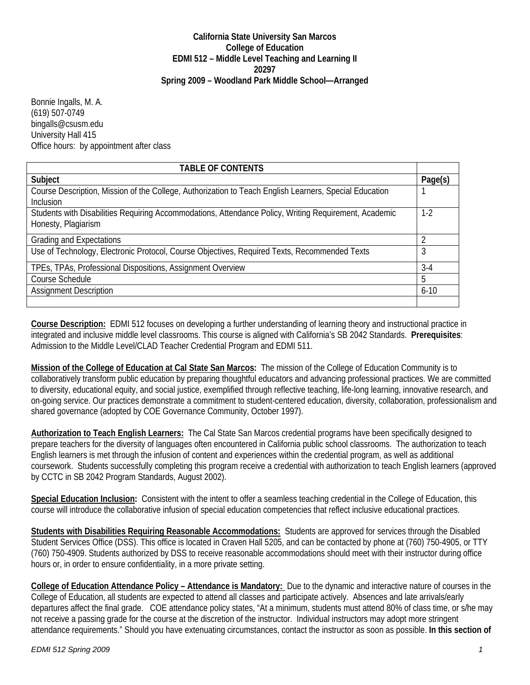## **California State University San Marcos College of Education EDMI 512 – Middle Level Teaching and Learning II 20297 Spring 2009 – Woodland Park Middle School—Arranged**

Bonnie Ingalls, M. A. (619) 507-0749 bingalls@csusm.edu University Hall 415 Office hours: by appointment after class

| <b>TABLE OF CONTENTS</b>                                                                                                     |          |
|------------------------------------------------------------------------------------------------------------------------------|----------|
| Subject                                                                                                                      | Page(s)  |
| Course Description, Mission of the College, Authorization to Teach English Learners, Special Education<br><b>Inclusion</b>   |          |
| Students with Disabilities Requiring Accommodations, Attendance Policy, Writing Requirement, Academic<br>Honesty, Plagiarism | $1-2$    |
| <b>Grading and Expectations</b>                                                                                              |          |
| Use of Technology, Electronic Protocol, Course Objectives, Required Texts, Recommended Texts                                 | 3        |
| TPEs, TPAs, Professional Dispositions, Assignment Overview                                                                   | $3-4$    |
| Course Schedule                                                                                                              | 5        |
| <b>Assignment Description</b>                                                                                                | $6 - 10$ |
|                                                                                                                              |          |

**Course Description:** EDMI 512 focuses on developing a further understanding of learning theory and instructional practice in integrated and inclusive middle level classrooms. This course is aligned with California's SB 2042 Standards. **Prerequisites**: Admission to the Middle Level/CLAD Teacher Credential Program and EDMI 511.

**Mission of the College of Education at Cal State San Marcos:** The mission of the College of Education Community is to collaboratively transform public education by preparing thoughtful educators and advancing professional practices. We are committed to diversity, educational equity, and social justice, exemplified through reflective teaching, life-long learning, innovative research, and on-going service. Our practices demonstrate a commitment to student-centered education, diversity, collaboration, professionalism and shared governance (adopted by COE Governance Community, October 1997).

 **Authorization to Teach English Learners:** The Cal State San Marcos credential programs have been specifically designed to prepare teachers for the diversity of languages often encountered in California public school classrooms. The authorization to teach English learners is met through the infusion of content and experiences within the credential program, as well as additional coursework. Students successfully completing this program receive a credential with authorization to teach English learners (approved by CCTC in SB 2042 Program Standards, August 2002).

**Special Education Inclusion:** Consistent with the intent to offer a seamless teaching credential in the College of Education, this course will introduce the collaborative infusion of special education competencies that reflect inclusive educational practices.

 **Students with Disabilities Requiring Reasonable Accommodations:** Students are approved for services through the Disabled Student Services Office (DSS). This office is located in Craven Hall 5205, and can be contacted by phone at (760) 750-4905, or TTY (760) 750-4909. Students authorized by DSS to receive reasonable accommodations should meet with their instructor during office hours or, in order to ensure confidentiality, in a more private setting.

**College of Education Attendance Policy – Attendance is Mandatory:** Due to the dynamic and interactive nature of courses in the College of Education, all students are expected to attend all classes and participate actively. Absences and late arrivals/early departures affect the final grade. COE attendance policy states, "At a minimum, students must attend 80% of class time, or s/he may not receive a passing grade for the course at the discretion of the instructor. Individual instructors may adopt more stringent attendance requirements." Should you have extenuating circumstances, contact the instructor as soon as possible. **In this section of**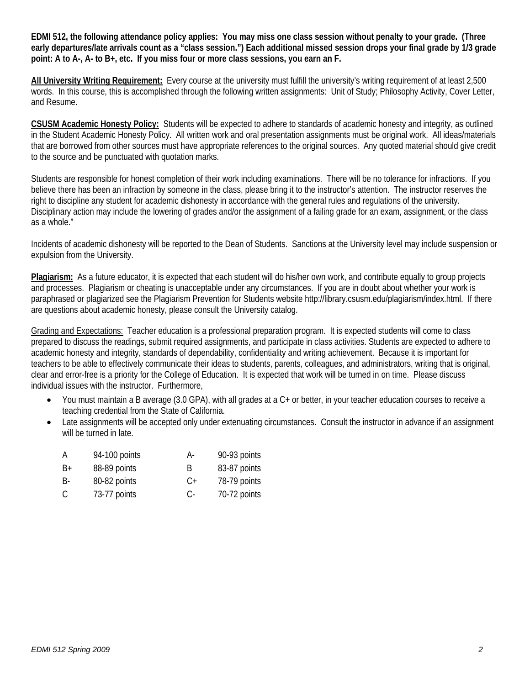**EDMI 512, the following attendance policy applies: You may miss one class session without penalty to your grade. (Three early departures/late arrivals count as a "class session.") Each additional missed session drops your final grade by 1/3 grade point: A to A-, A- to B+, etc. If you miss four or more class sessions, you earn an F.** 

 **All University Writing Requirement:** Every course at the university must fulfill the university's writing requirement of at least 2,500 words. In this course, this is accomplished through the following written assignments: Unit of Study; Philosophy Activity, Cover Letter, and Resume.

CSUSM Academic Honesty Policy: Students will be expected to adhere to standards of academic honesty and integrity, as outlined in the Student Academic Honesty Policy. All written work and oral presentation assignments must be original work. All ideas/materials that are borrowed from other sources must have appropriate references to the original sources. Any quoted material should give credit to the source and be punctuated with quotation marks.

right to discipline any student for academic dishonesty in accordance with the general rules and regulations of the university. Students are responsible for honest completion of their work including examinations. There will be no tolerance for infractions. If you believe there has been an infraction by someone in the class, please bring it to the instructor's attention. The instructor reserves the Disciplinary action may include the lowering of grades and/or the assignment of a failing grade for an exam, assignment, or the class as a whole."

Incidents of academic dishonesty will be reported to the Dean of Students. Sanctions at the University level may include suspension or expulsion from the University.

Plagiarism: As a future educator, it is expected that each student will do his/her own work, and contribute equally to group projects and processes. Plagiarism or cheating is unacceptable under any circumstances. If you are in doubt about whether your work is paraphrased or plagiarized see the Plagiarism Prevention for Students website http://library.csusm.edu/plagiarism/index.html. If there are questions about academic honesty, please consult the University catalog.

Grading and Expectations: Teacher education is a professional preparation program. It is expected students will come to class prepared to discuss the readings, submit required assignments, and participate in class activities. Students are expected to adhere to academic honesty and integrity, standards of dependability, confidentiality and writing achievement. Because it is important for teachers to be able to effectively communicate their ideas to students, parents, colleagues, and administrators, writing that is original, clear and error-free is a priority for the College of Education. It is expected that work will be turned in on time. Please discuss individual issues with the instructor. Furthermore,

- You must maintain a B average (3.0 GPA), with all grades at a  $C$  + or better, in your teacher education courses to receive a teaching credential from the State of California.
- Late assignments will be accepted only under extenuating circumstances. Consult the instructor in advance if an assignment will be turned in late.

| А  | 94-100 points | А-        | 90-93 points |
|----|---------------|-----------|--------------|
| B+ | 88-89 points  | B         | 83-87 points |
| B- | 80-82 points  | $C_{\pm}$ | 78-79 points |
| C  | 73-77 points  | С-        | 70-72 points |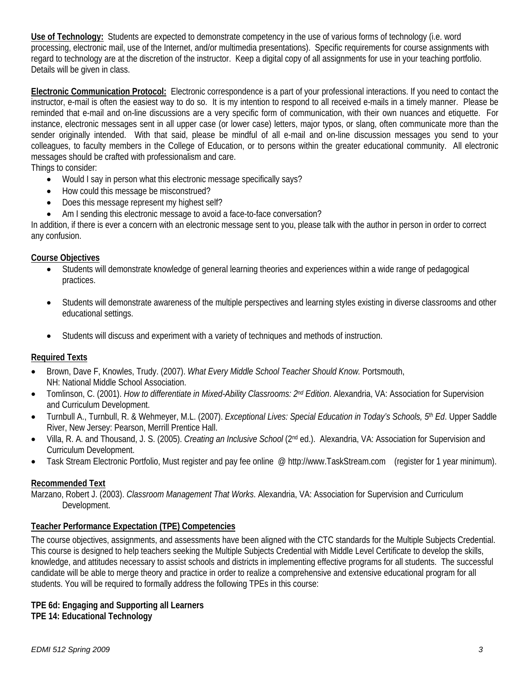**Use of Technology:** Students are expected to demonstrate competency in the use of various forms of technology (i.e. word processing, electronic mail, use of the Internet, and/or multimedia presentations). Specific requirements for course assignments with regard to technology are at the discretion of the instructor. Keep a digital copy of all assignments for use in your teaching portfolio. Details will be given in class.

 **Electronic Communication Protocol:** Electronic correspondence is a part of your professional interactions. If you need to contact the instructor, e-mail is often the easiest way to do so. It is my intention to respond to all received e-mails in a timely manner. Please be reminded that e-mail and on-line discussions are a very specific form of communication, with their own nuances and etiquette. For instance, electronic messages sent in all upper case (or lower case) letters, major typos, or slang, often communicate more than the sender originally intended. With that said, please be mindful of all e-mail and on-line discussion messages you send to your colleagues, to faculty members in the College of Education, or to persons within the greater educational community. All electronic messages should be crafted with professionalism and care.

Things to consider:

- Would I say in person what this electronic message specifically says?
- How could this message be misconstrued?
- Does this message represent my highest self?
- Am I sending this electronic message to avoid a face-to-face conversation?

In addition, if there is ever a concern with an electronic message sent to you, please talk with the author in person in order to correct any confusion.

## **Course Objectives**

- Students will demonstrate knowledge of general learning theories and experiences within a wide range of pedagogical practices.
- Students will demonstrate awareness of the multiple perspectives and learning styles existing in diverse classrooms and other educational settings.
- Students will discuss and experiment with a variety of techniques and methods of instruction.

# **Required Texts**

- Brown, Dave F, Knowles, Trudy. (2007). *What Every Middle School Teacher Should Know.* Portsmouth, NH: National Middle School Association.
- Tomlinson, C. (2001). *How to differentiate in Mixed-Ability Classrooms: 2<sup>nd</sup> Edition*. Alexandria, VA: Association for Supervision and Curriculum Development.
- • Turnbull A., Turnbull, R. & Wehmeyer, M.L. (2007). *Exceptional Lives: Special Education in Today's Schools, 5th Ed*. Upper Saddle River, New Jersey: Pearson, Merrill Prentice Hall.
- Villa, R. A. and Thousand, J. S. (2005). *Creating an Inclusive School* (2<sup>nd</sup> ed.). Alexandria, VA: Association for Supervision and Curriculum Development.
- Task Stream Electronic Portfolio, Must register and pay fee online @ http://www.TaskStream.com (register for 1 year minimum).

# **Recommended Text**

Marzano, Robert J. (2003). *Classroom Management That Works*. Alexandria, VA: Association for Supervision and Curriculum Development.

# **Teacher Performance Expectation (TPE) Competencies**

The course objectives, assignments, and assessments have been aligned with the CTC standards for the Multiple Subjects Credential. This course is designed to help teachers seeking the Multiple Subjects Credential with Middle Level Certificate to develop the skills, knowledge, and attitudes necessary to assist schools and districts in implementing effective programs for all students. The successful candidate will be able to merge theory and practice in order to realize a comprehensive and extensive educational program for all students. You will be required to formally address the following TPEs in this course:

# **TPE 6d: Engaging and Supporting all Learners**

# **TPE 14: Educational Technology**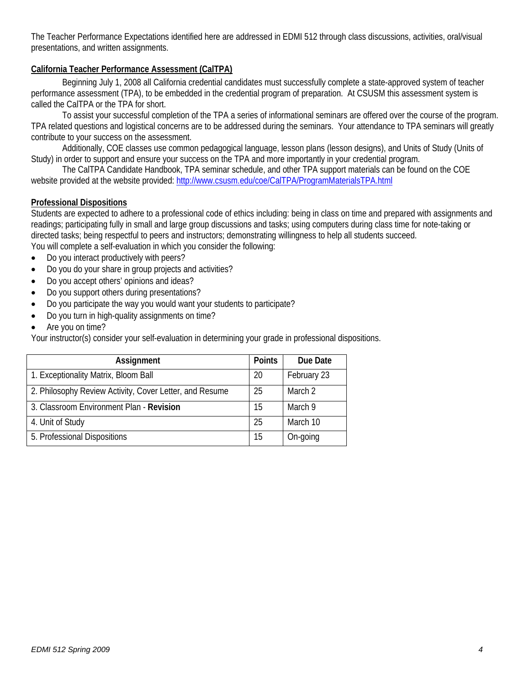The Teacher Performance Expectations identified here are addressed in EDMI 512 through class discussions, activities, oral/visual presentations, and written assignments.

# **California Teacher Performance Assessment (CalTPA)**

Beginning July 1, 2008 all California credential candidates must successfully complete a state-approved system of teacher performance assessment (TPA), to be embedded in the credential program of preparation. At CSUSM this assessment system is called the CalTPA or the TPA for short.

To assist your successful completion of the TPA a series of informational seminars are offered over the course of the program. TPA related questions and logistical concerns are to be addressed during the seminars. Your attendance to TPA seminars will greatly contribute to your success on the assessment.

Additionally, COE classes use common pedagogical language, lesson plans (lesson designs), and Units of Study (Units of Study) in order to support and ensure your success on the TPA and more importantly in your credential program.

The CalTPA Candidate Handbook, TPA seminar schedule, and other TPA support materials can be found on the COE website provided at the website provided: http://www.csusm.edu/coe/CalTPA/ProgramMaterialsTPA.html

## **Professional Dispositions**

Students are expected to adhere to a professional code of ethics including: being in class on time and prepared with assignments and readings; participating fully in small and large group discussions and tasks; using computers during class time for note-taking or directed tasks; being respectful to peers and instructors; demonstrating willingness to help all students succeed.

You will complete a self-evaluation in which you consider the following:

- Do you interact productively with peers?
- Do you do your share in group projects and activities?
- Do you accept others' opinions and ideas?
- Do you support others during presentations?
- Do you participate the way you would want your students to participate?
- Do you turn in high-quality assignments on time?
- Are you on time?

Your instructor(s) consider your self-evaluation in determining your grade in professional dispositions.

| Assignment                                              | <b>Points</b> | Due Date    |
|---------------------------------------------------------|---------------|-------------|
| 1. Exceptionality Matrix, Bloom Ball                    | 20            | February 23 |
| 2. Philosophy Review Activity, Cover Letter, and Resume | 25            | March 2     |
| 3. Classroom Environment Plan - Revision                | 15            | March 9     |
| 4. Unit of Study                                        | 25            | March 10    |
| 5. Professional Dispositions                            | 15            | On-going    |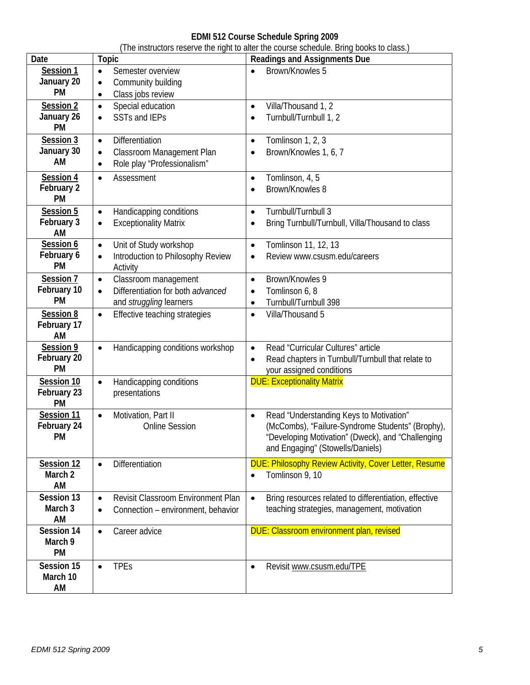# **EDMI 512 Course Schedule Spring 2009**

|                    |                                                        | (The instructors reserve the right to alter the course schedule. Bring books to class.) |
|--------------------|--------------------------------------------------------|-----------------------------------------------------------------------------------------|
| Date               | Topic                                                  | <b>Readings and Assignments Due</b>                                                     |
| Session 1          | Semester overview<br>$\bullet$                         | Brown/Knowles 5<br>$\bullet$                                                            |
| January 20         | Community building<br>$\bullet$                        |                                                                                         |
| <b>PM</b>          | Class jobs review<br>$\bullet$                         |                                                                                         |
| Session 2          | Special education<br>$\bullet$                         | Villa/Thousand 1, 2<br>$\bullet$                                                        |
| January 26         | <b>SSTs and IEPs</b>                                   | Turnbull/Turnbull 1, 2                                                                  |
| <b>PM</b>          | $\bullet$                                              | $\bullet$                                                                               |
|                    |                                                        |                                                                                         |
| Session 3          | Differentiation<br>$\bullet$                           | Tomlinson 1, 2, 3<br>$\bullet$                                                          |
| January 30         | Classroom Management Plan<br>$\bullet$                 | Brown/Knowles 1, 6, 7<br>$\bullet$                                                      |
| AM                 | Role play "Professionalism"<br>$\bullet$               |                                                                                         |
| Session 4          | Assessment<br>$\bullet$                                | Tomlinson, 4, 5<br>$\bullet$                                                            |
| February 2         |                                                        | Brown/Knowles 8<br>$\bullet$                                                            |
| <b>PM</b>          |                                                        |                                                                                         |
| Session 5          | Handicapping conditions<br>$\bullet$                   | Turnbull/Turnbull 3<br>$\bullet$                                                        |
| February 3         | <b>Exceptionality Matrix</b><br>$\bullet$              | Bring Turnbull/Turnbull, Villa/Thousand to class<br>$\bullet$                           |
| AM                 |                                                        |                                                                                         |
| Session 6          | Unit of Study workshop<br>$\bullet$                    | Tomlinson 11, 12, 13<br>$\bullet$                                                       |
| February 6         |                                                        |                                                                                         |
| <b>PM</b>          | Introduction to Philosophy Review<br>$\bullet$         | Review www.csusm.edu/careers<br>$\bullet$                                               |
|                    | Activity                                               |                                                                                         |
| Session 7          | Classroom management<br>$\bullet$                      | Brown/Knowles 9<br>$\bullet$                                                            |
| February 10        | Differentiation for both advanced<br>$\bullet$         | Tomlinson 6, 8<br>$\bullet$                                                             |
| <b>PM</b>          | and struggling learners                                | Turnbull/Turnbull 398<br>٠                                                              |
| Session 8          | Effective teaching strategies<br>$\bullet$             | Villa/Thousand 5<br>$\bullet$                                                           |
| February 17        |                                                        |                                                                                         |
| AM                 |                                                        |                                                                                         |
| Session 9          | Handicapping conditions workshop<br>$\bullet$          | Read "Curricular Cultures" article<br>$\bullet$                                         |
| February 20        |                                                        | Read chapters in Turnbull/Turnbull that relate to<br>$\bullet$                          |
| <b>PM</b>          |                                                        | your assigned conditions                                                                |
| Session 10         | Handicapping conditions<br>$\bullet$                   | <b>DUE: Exceptionality Matrix</b>                                                       |
| February 23        | presentations                                          |                                                                                         |
| <b>PM</b>          |                                                        |                                                                                         |
| Session 11         | Motivation, Part II<br>$\bullet$                       | Read "Understanding Keys to Motivation"<br>$\bullet$                                    |
| February 24        | <b>Online Session</b>                                  | (McCombs), "Failure-Syndrome Students" (Brophy),                                        |
| PM                 |                                                        | "Developing Motivation" (Dweck), and "Challenging                                       |
|                    |                                                        |                                                                                         |
|                    |                                                        | and Engaging" (Stowells/Daniels)                                                        |
| Session 12         | Differentiation<br>$\bullet$                           | <b>DUE: Philosophy Review Activity, Cover Letter, Resume</b>                            |
| March <sub>2</sub> |                                                        | Tomlinson 9, 10<br>$\bullet$                                                            |
| AM                 |                                                        |                                                                                         |
| Session 13         | <b>Revisit Classroom Environment Plan</b><br>$\bullet$ | Bring resources related to differentiation, effective<br>$\bullet$                      |
| March 3            | Connection - environment, behavior<br>$\bullet$        | teaching strategies, management, motivation                                             |
| AM                 |                                                        |                                                                                         |
| Session 14         | Career advice<br>$\bullet$                             | <b>DUE: Classroom environment plan, revised</b>                                         |
| March 9            |                                                        |                                                                                         |
| <b>PM</b>          |                                                        |                                                                                         |
| Session 15         | <b>TPEs</b><br>$\bullet$                               | Revisit www.csusm.edu/TPE<br>$\bullet$                                                  |
| March 10           |                                                        |                                                                                         |
| AM                 |                                                        |                                                                                         |
|                    |                                                        |                                                                                         |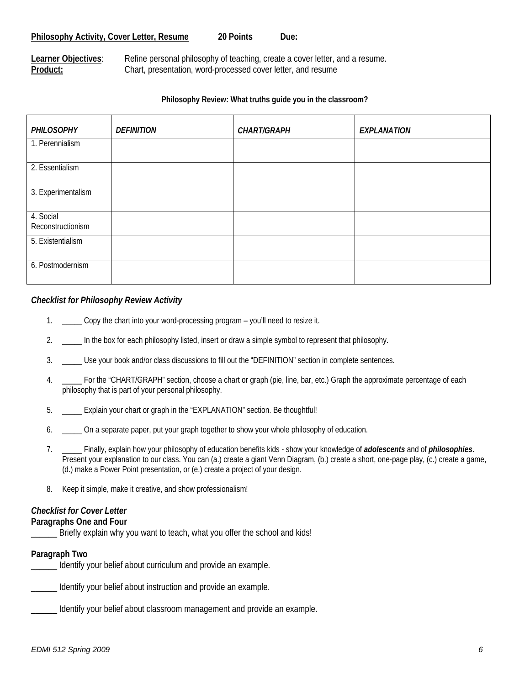#### 20 Points Philosophy Activity, Cover Letter, Resume 20 Points Due:

Product: **Learner Objectives**: Refine personal philosophy of teaching, create a cover letter, and a resume. Chart, presentation, word-processed cover letter, and resume

#### **Philosophy Review: What truths guide you in the classroom?**

| PHILOSOPHY                     | <b>DEFINITION</b> | <b>CHART/GRAPH</b> | <b>EXPLANATION</b> |
|--------------------------------|-------------------|--------------------|--------------------|
| 1. Perennialism                |                   |                    |                    |
| 2. Essentialism                |                   |                    |                    |
| 3. Experimentalism             |                   |                    |                    |
| 4. Social<br>Reconstructionism |                   |                    |                    |
| 5. Existentialism              |                   |                    |                    |
| 6. Postmodernism               |                   |                    |                    |

#### *Checklist for Philosophy Review Activity*

- 1. Copy the chart into your word-processing program you'll need to resize it.
- 2. In the box for each philosophy listed, insert or draw a simple symbol to represent that philosophy.
- 3. List your book and/or class discussions to fill out the "DEFINITION" section in complete sentences.
- 4. \_\_\_\_\_ For the "CHART/GRAPH" section, choose a chart or graph (pie, line, bar, etc.) Graph the approximate percentage of each philosophy that is part of your personal philosophy.
- 5. \_\_\_\_\_ Explain your chart or graph in the "EXPLANATION" section. Be thoughtful!
- 6. Comet a separate paper, put your graph together to show your whole philosophy of education.
- 7. \_\_\_\_\_ Finally, explain how your philosophy of education benefits kids show your knowledge of *adolescents* and of *philosophies*. Present your explanation to our class. You can (a.) create a giant Venn Diagram, (b.) create a short, one-page play, (c.) create a game, (d.) make a Power Point presentation, or (e.) create a project of your design.
- 8. Keep it simple, make it creative, and show professionalism!

#### *Checklist for Cover Letter*

#### **Paragraphs One and Four**

Briefly explain why you want to teach, what you offer the school and kids!

#### **Paragraph Two**

\_\_\_\_\_\_ Identify your belief about curriculum and provide an example.

Identify your belief about instruction and provide an example.

\_\_\_\_\_\_ Identify your belief about classroom management and provide an example.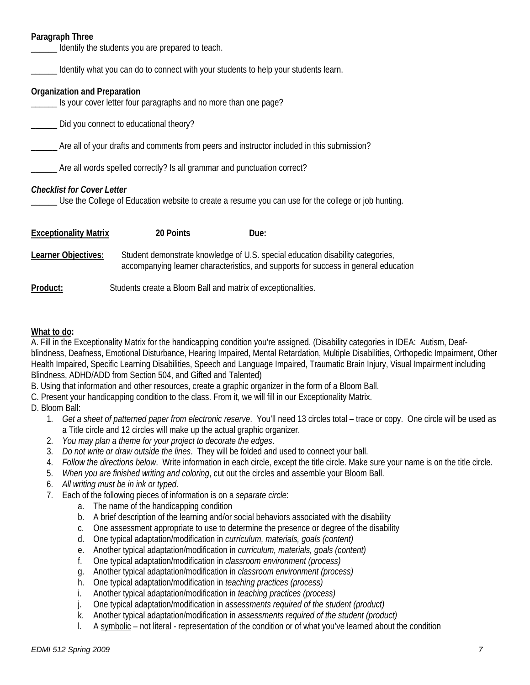# **Paragraph Three**

| Paragraph Three                                                                                                                          | Identify the students you are prepared to teach.                                           |      |                                                                                                                                                                       |
|------------------------------------------------------------------------------------------------------------------------------------------|--------------------------------------------------------------------------------------------|------|-----------------------------------------------------------------------------------------------------------------------------------------------------------------------|
|                                                                                                                                          | Identify what you can do to connect with your students to help your students learn.        |      |                                                                                                                                                                       |
| Organization and Preparation                                                                                                             | Is your cover letter four paragraphs and no more than one page?                            |      |                                                                                                                                                                       |
|                                                                                                                                          | Did you connect to educational theory?                                                     |      |                                                                                                                                                                       |
|                                                                                                                                          | Are all of your drafts and comments from peers and instructor included in this submission? |      |                                                                                                                                                                       |
| Are all words spelled correctly? Is all grammar and punctuation correct?                                                                 |                                                                                            |      |                                                                                                                                                                       |
| <b>Checklist for Cover Letter</b><br>Use the College of Education website to create a resume you can use for the college or job hunting. |                                                                                            |      |                                                                                                                                                                       |
| <b>Exceptionality Matrix</b>                                                                                                             | 20 Points                                                                                  | Due: |                                                                                                                                                                       |
| Learner Objectives:                                                                                                                      |                                                                                            |      | Student demonstrate knowledge of U.S. special education disability categories,<br>accompanying learner characteristics, and supports for success in general education |
| Product:                                                                                                                                 | Students create a Bloom Ball and matrix of exceptionalities.                               |      |                                                                                                                                                                       |

#### **What to do:**

 A. Fill in the Exceptionality Matrix for the handicapping condition you're assigned. (Disability categories in IDEA: Autism, Deafblindness, Deafness, Emotional Disturbance, Hearing Impaired, Mental Retardation, Multiple Disabilities, Orthopedic Impairment, Other Health Impaired, Specific Learning Disabilities, Speech and Language Impaired, Traumatic Brain Injury, Visual Impairment including Blindness, ADHD/ADD from Section 504, and Gifted and Talented)

B. Using that information and other resources, create a graphic organizer in the form of a Bloom Ball.

C. Present your handicapping condition to the class. From it, we will fill in our Exceptionality Matrix.

D. Bloom Ball:

- 1. *Get a sheet of patterned paper from electronic reserve.* You'll need 13 circles total trace or copy. One circle will be used as a Title circle and 12 circles will make up the actual graphic organizer.
- 2. *You may plan a theme for your project to decorate the edges*.
- 3. *Do not write or draw outside the lines*. They will be folded and used to connect your ball.
- 4. *Follow the directions below*. Write information in each circle, except the title circle. Make sure your name is on the title circle.
- 5. When you are finished writing and coloring, cut out the circles and assemble your Bloom Ball.
- 6. *All writing must be in ink or typed*.
- 7. Each of the following pieces of information is on a *separate circle*:
	- a. The name of the handicapping condition
	- b. A brief description of the learning and/or social behaviors associated with the disability
	- c. One assessment appropriate to use to determine the presence or degree of the disability
	- d. One typical adaptation/modification in *curriculum, materials, goals (content)*
	- e. Another typical adaptation/modification in *curriculum, materials, goals (content)*
	- f. One typical adaptation/modification in *classroom environment (process)*
	- g. Another typical adaptation/modification in *classroom environment (process)*
	- h. One typical adaptation/modification in *teaching practices (process)*
	- i. Another typical adaptation/modification in *teaching practices (process)*
	- j. One typical adaptation/modification in *assessments required of the student (product)*
	- k. Another typical adaptation/modification in *assessments required of the student (product)*
	- l. A symbolic not literal representation of the condition or of what you've learned about the condition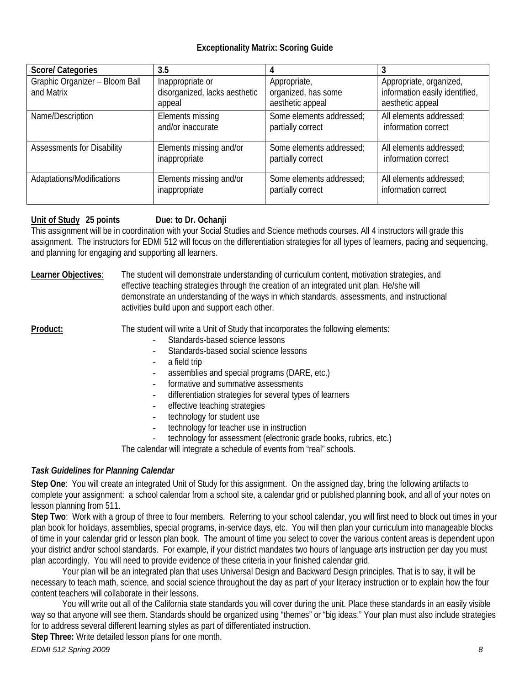# **Exceptionality Matrix: Scoring Guide**

| <b>Score/ Categories</b>                     | 3.5                                                         |                                                         |                                                                               |
|----------------------------------------------|-------------------------------------------------------------|---------------------------------------------------------|-------------------------------------------------------------------------------|
| Graphic Organizer - Bloom Ball<br>and Matrix | Inappropriate or<br>disorganized, lacks aesthetic<br>appeal | Appropriate,<br>organized, has some<br>aesthetic appeal | Appropriate, organized,<br>information easily identified,<br>aesthetic appeal |
| Name/Description                             | Elements missing                                            | Some elements addressed;                                | All elements addressed:                                                       |
|                                              | and/or inaccurate                                           | partially correct                                       | information correct                                                           |
| <b>Assessments for Disability</b>            | Elements missing and/or                                     | Some elements addressed;                                | All elements addressed;                                                       |
|                                              | inappropriate                                               | partially correct                                       | information correct                                                           |
| Adaptations/Modifications                    | Elements missing and/or                                     | Some elements addressed;                                | All elements addressed;                                                       |
|                                              | inappropriate                                               | partially correct                                       | information correct                                                           |

## Unit of Study 25 points **Due: to Dr. Ochanji**

This assignment will be in coordination with your Social Studies and Science methods courses. All 4 instructors will grade this assignment. The instructors for EDMI 512 will focus on the differentiation strategies for all types of learners, pacing and sequencing, and planning for engaging and supporting all learners.

Learner Objectives: The student will demonstrate understanding of curriculum content, motivation strategies, and effective teaching strategies through the creation of an integrated unit plan. He/she will demonstrate an understanding of the ways in which standards, assessments, and instructional activities build upon and support each other.

**Product:** The student will write a Unit of Study that incorporates the following elements:

- Standards-based science lessons
	- Standards-based social science lessons
- a field trip
- assemblies and special programs (DARE, etc.)
- formative and summative assessments
- differentiation strategies for several types of learners
- effective teaching strategies
- technology for student use
- technology for teacher use in instruction
- technology for assessment (electronic grade books, rubrics, etc.)

The calendar will integrate a schedule of events from "real" schools.

# *Task Guidelines for Planning Calendar*

 lesson planning from 511. **Step One**: You will create an integrated Unit of Study for this assignment. On the assigned day, bring the following artifacts to complete your assignment: a school calendar from a school site, a calendar grid or published planning book, and all of your notes on

**Step Two**: Work with a group of three to four members. Referring to your school calendar, you will first need to block out times in your plan book for holidays, assemblies, special programs, in-service days, etc. You will then plan your curriculum into manageable blocks of time in your calendar grid or lesson plan book. The amount of time you select to cover the various content areas is dependent upon your district and/or school standards. For example, if your district mandates two hours of language arts instruction per day you must plan accordingly. You will need to provide evidence of these criteria in your finished calendar grid.

Your plan will be an integrated plan that uses Universal Design and Backward Design principles. That is to say, it will be necessary to teach math, science, and social science throughout the day as part of your literacy instruction or to explain how the four content teachers will collaborate in their lessons.

You will write out all of the California state standards you will cover during the unit. Place these standards in an easily visible way so that anyone will see them. Standards should be organized using "themes" or "big ideas." Your plan must also include strategies for to address several different learning styles as part of differentiated instruction.

**Step Three:** Write detailed lesson plans for one month.

*EDMI 512 Spring 2009 8*